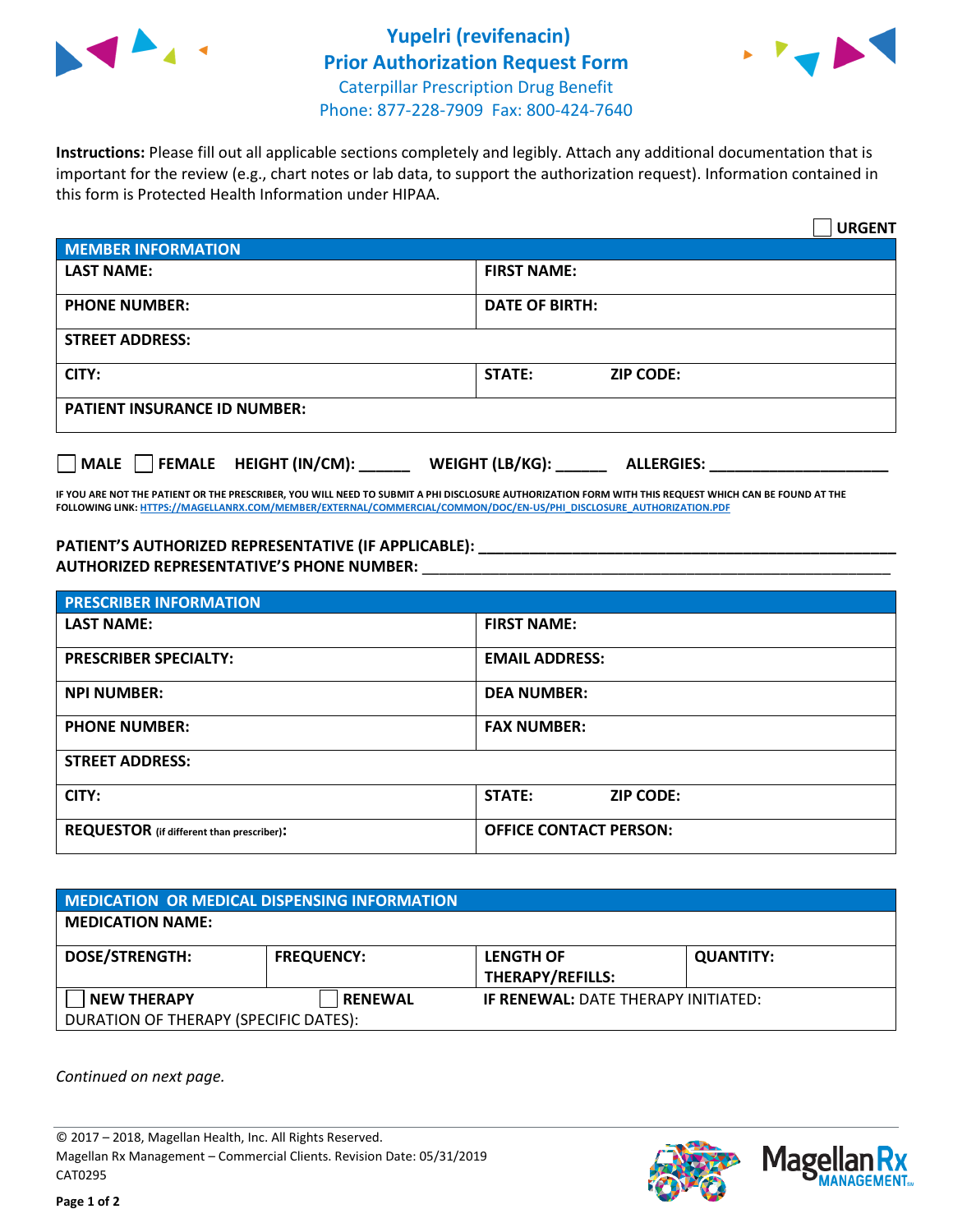



**Instructions:** Please fill out all applicable sections completely and legibly. Attach any additional documentation that is important for the review (e.g., chart notes or lab data, to support the authorization request). Information contained in this form is Protected Health Information under HIPAA.

|                                                | <b>URGENT</b>                        |  |  |  |
|------------------------------------------------|--------------------------------------|--|--|--|
| <b>MEMBER INFORMATION</b>                      |                                      |  |  |  |
| <b>LAST NAME:</b>                              | <b>FIRST NAME:</b>                   |  |  |  |
| <b>PHONE NUMBER:</b>                           | <b>DATE OF BIRTH:</b>                |  |  |  |
| <b>STREET ADDRESS:</b>                         |                                      |  |  |  |
| CITY:                                          | <b>STATE:</b><br><b>ZIP CODE:</b>    |  |  |  |
| <b>PATIENT INSURANCE ID NUMBER:</b>            |                                      |  |  |  |
| $\Box$ FEMALE HEIGHT (IN/CM): _<br><b>MALE</b> | WEIGHT (LB/KG):<br><b>ALLERGIES:</b> |  |  |  |

**IF YOU ARE NOT THE PATIENT OR THE PRESCRIBER, YOU WILL NEED TO SUBMIT A PHI DISCLOSURE AUTHORIZATION FORM WITH THIS REQUEST WHICH CAN BE FOUND AT THE FOLLOWING LINK[: HTTPS://MAGELLANRX.COM/MEMBER/EXTERNAL/COMMERCIAL/COMMON/DOC/EN-US/PHI\\_DISCLOSURE\\_AUTHORIZATION.PDF](https://magellanrx.com/member/external/commercial/common/doc/en-us/PHI_Disclosure_Authorization.pdf)**

**PATIENT'S AUTHORIZED REPRESENTATIVE (IF APPLICABLE): \_\_\_\_\_\_\_\_\_\_\_\_\_\_\_\_\_\_\_\_\_\_\_\_\_\_\_\_\_\_\_\_\_\_\_\_\_\_\_\_\_\_\_\_\_\_\_\_\_ AUTHORIZED REPRESENTATIVE'S PHONE NUMBER:** \_\_\_\_\_\_\_\_\_\_\_\_\_\_\_\_\_\_\_\_\_\_\_\_\_\_\_\_\_\_\_\_\_\_\_\_\_\_\_\_\_\_\_\_\_\_\_\_\_\_\_\_\_\_\_

| <b>PRESCRIBER INFORMATION</b>             |                               |  |  |  |
|-------------------------------------------|-------------------------------|--|--|--|
| <b>LAST NAME:</b>                         | <b>FIRST NAME:</b>            |  |  |  |
| <b>PRESCRIBER SPECIALTY:</b>              | <b>EMAIL ADDRESS:</b>         |  |  |  |
| <b>NPI NUMBER:</b>                        | <b>DEA NUMBER:</b>            |  |  |  |
| <b>PHONE NUMBER:</b>                      | <b>FAX NUMBER:</b>            |  |  |  |
| <b>STREET ADDRESS:</b>                    |                               |  |  |  |
| CITY:                                     | STATE:<br><b>ZIP CODE:</b>    |  |  |  |
| REQUESTOR (if different than prescriber): | <b>OFFICE CONTACT PERSON:</b> |  |  |  |

| <b>MEDICATION OR MEDICAL DISPENSING INFORMATION</b> |                   |                                            |                  |  |  |
|-----------------------------------------------------|-------------------|--------------------------------------------|------------------|--|--|
| <b>MEDICATION NAME:</b>                             |                   |                                            |                  |  |  |
| <b>DOSE/STRENGTH:</b>                               | <b>FREQUENCY:</b> | <b>LENGTH OF</b>                           | <b>QUANTITY:</b> |  |  |
|                                                     |                   | <b>THERAPY/REFILLS:</b>                    |                  |  |  |
| <b>NEW THERAPY</b>                                  | <b>RENEWAL</b>    | <b>IF RENEWAL: DATE THERAPY INITIATED:</b> |                  |  |  |
| DURATION OF THERAPY (SPECIFIC DATES):               |                   |                                            |                  |  |  |

*Continued on next page.*

© 2017 – 2018, Magellan Health, Inc. All Rights Reserved. Magellan Rx Management – Commercial Clients. Revision Date: 05/31/2019 CAT0295